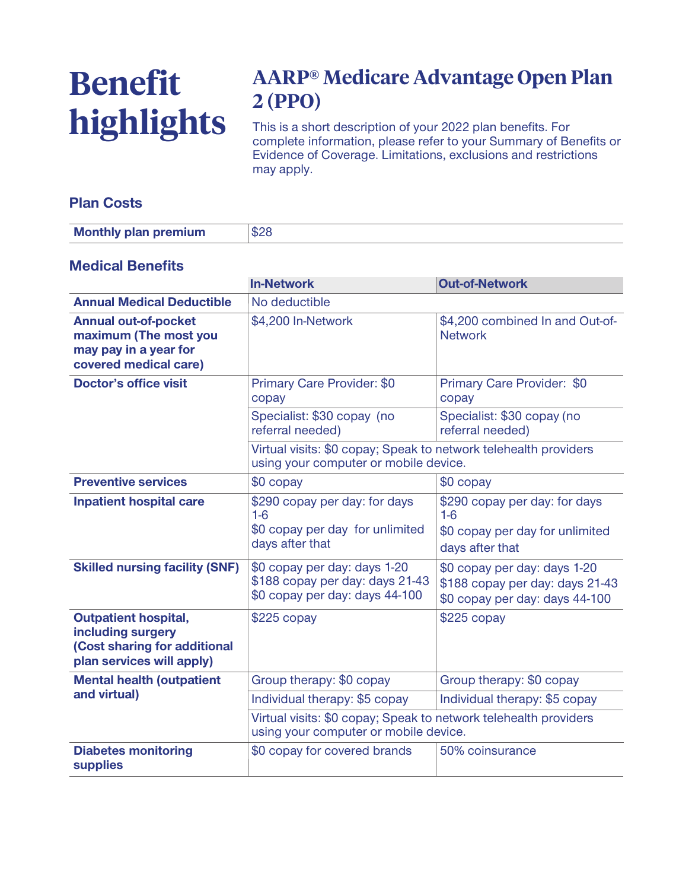# **Benefit highlights**

# **AARP® Medicare Advantage Open Plan 2 (PPO)**

**This is a short description of your 2022 plan benefits. For complete information, please refer to your Summary of Benefits or Evidence of Coverage. Limitations, exclusions and restrictions may apply.**

### **Plan Costs**

| <b>Monthly plan premium</b> |  |
|-----------------------------|--|
|-----------------------------|--|

#### **Medical Benefits**

|                                                                                                               | <b>In-Network</b>                                                                                         | <b>Out-of-Network</b>                                                                             |  |
|---------------------------------------------------------------------------------------------------------------|-----------------------------------------------------------------------------------------------------------|---------------------------------------------------------------------------------------------------|--|
| <b>Annual Medical Deductible</b>                                                                              | No deductible                                                                                             |                                                                                                   |  |
| <b>Annual out-of-pocket</b><br>maximum (The most you<br>may pay in a year for<br>covered medical care)        | \$4,200 In-Network                                                                                        | \$4,200 combined In and Out-of-<br><b>Network</b>                                                 |  |
| <b>Doctor's office visit</b>                                                                                  | Primary Care Provider: \$0<br>copay                                                                       | Primary Care Provider: \$0<br>copay                                                               |  |
|                                                                                                               | Specialist: \$30 copay (no<br>referral needed)                                                            | Specialist: \$30 copay (no<br>referral needed)                                                    |  |
|                                                                                                               | Virtual visits: \$0 copay; Speak to network telehealth providers<br>using your computer or mobile device. |                                                                                                   |  |
| <b>Preventive services</b>                                                                                    | \$0 copay                                                                                                 | $$0$ copay                                                                                        |  |
| <b>Inpatient hospital care</b>                                                                                | \$290 copay per day: for days<br>$1-6$<br>\$0 copay per day for unlimited<br>days after that              | \$290 copay per day: for days<br>$1-6$<br>\$0 copay per day for unlimited<br>days after that      |  |
| <b>Skilled nursing facility (SNF)</b>                                                                         | \$0 copay per day: days 1-20<br>\$188 copay per day: days 21-43<br>\$0 copay per day: days 44-100         | \$0 copay per day: days 1-20<br>\$188 copay per day: days 21-43<br>\$0 copay per day: days 44-100 |  |
| <b>Outpatient hospital,</b><br>including surgery<br>(Cost sharing for additional<br>plan services will apply) | $$225$ copay                                                                                              | $$225$ copay                                                                                      |  |
| <b>Mental health (outpatient</b>                                                                              | Group therapy: \$0 copay                                                                                  | Group therapy: \$0 copay                                                                          |  |
| and virtual)                                                                                                  | Individual therapy: \$5 copay                                                                             | Individual therapy: \$5 copay                                                                     |  |
|                                                                                                               | Virtual visits: \$0 copay; Speak to network telehealth providers<br>using your computer or mobile device. |                                                                                                   |  |
| <b>Diabetes monitoring</b><br><b>supplies</b>                                                                 | \$0 copay for covered brands                                                                              | 50% coinsurance                                                                                   |  |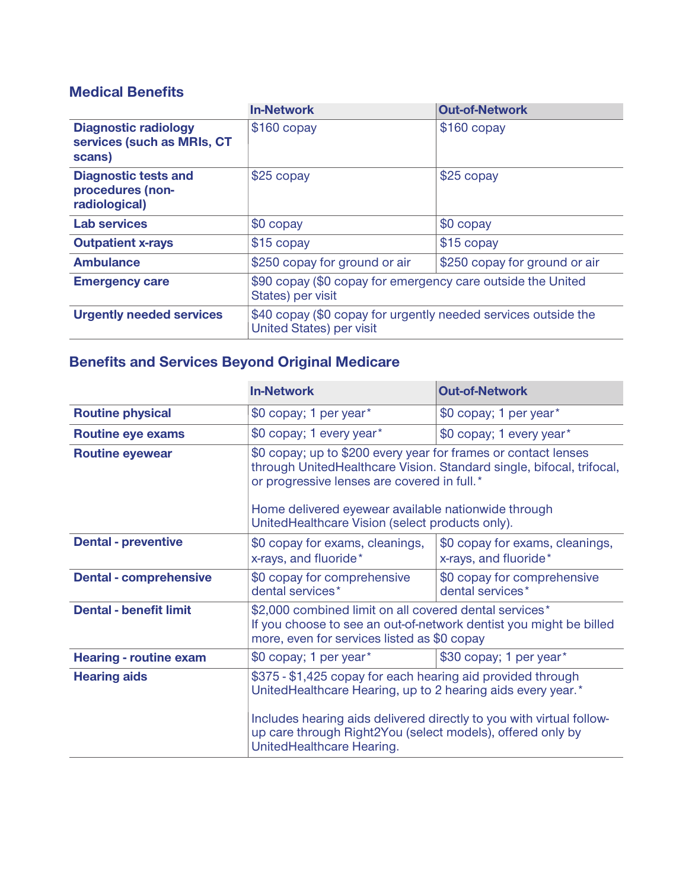## **Medical Benefits**

|                                                                     | <b>In-Network</b>                                                                                 | <b>Out-of-Network</b>         |
|---------------------------------------------------------------------|---------------------------------------------------------------------------------------------------|-------------------------------|
| <b>Diagnostic radiology</b><br>services (such as MRIs, CT<br>scans) | $$160$ copay                                                                                      | $$160$ copay                  |
| <b>Diagnostic tests and</b><br>procedures (non-<br>radiological)    | \$25 copay                                                                                        | \$25 copay                    |
| <b>Lab services</b>                                                 | \$0 copay                                                                                         | \$0 copay                     |
| <b>Outpatient x-rays</b>                                            | $$15$ copay                                                                                       | \$15 copay                    |
| <b>Ambulance</b>                                                    | \$250 copay for ground or air                                                                     | \$250 copay for ground or air |
| <b>Emergency care</b>                                               | \$90 copay (\$0 copay for emergency care outside the United<br>States) per visit                  |                               |
| <b>Urgently needed services</b>                                     | \$40 copay (\$0 copay for urgently needed services outside the<br><b>United States) per visit</b> |                               |

## **Benefits and Services Beyond Original Medicare**

|                               | <b>In-Network</b>                                                                                                                                                                                                                                                                               | <b>Out-of-Network</b>                                    |
|-------------------------------|-------------------------------------------------------------------------------------------------------------------------------------------------------------------------------------------------------------------------------------------------------------------------------------------------|----------------------------------------------------------|
| <b>Routine physical</b>       | \$0 copay; 1 per year*                                                                                                                                                                                                                                                                          | \$0 copay; 1 per year*                                   |
| <b>Routine eye exams</b>      | \$0 copay; 1 every year*                                                                                                                                                                                                                                                                        | \$0 copay; 1 every year*                                 |
| <b>Routine eyewear</b>        | \$0 copay; up to \$200 every year for frames or contact lenses<br>through UnitedHealthcare Vision. Standard single, bifocal, trifocal,<br>or progressive lenses are covered in full.*<br>Home delivered eyewear available nationwide through<br>UnitedHealthcare Vision (select products only). |                                                          |
| <b>Dental - preventive</b>    | \$0 copay for exams, cleanings,<br>x-rays, and fluoride*                                                                                                                                                                                                                                        | \$0 copay for exams, cleanings,<br>x-rays, and fluoride* |
| <b>Dental - comprehensive</b> | \$0 copay for comprehensive<br>dental services*                                                                                                                                                                                                                                                 | \$0 copay for comprehensive<br>dental services*          |
| <b>Dental - benefit limit</b> | \$2,000 combined limit on all covered dental services*<br>If you choose to see an out-of-network dentist you might be billed<br>more, even for services listed as \$0 copay                                                                                                                     |                                                          |
| <b>Hearing - routine exam</b> | \$0 copay; 1 per year*                                                                                                                                                                                                                                                                          | \$30 copay; 1 per year*                                  |
| <b>Hearing aids</b>           | \$375 - \$1,425 copay for each hearing aid provided through<br>UnitedHealthcare Hearing, up to 2 hearing aids every year.*<br>Includes hearing aids delivered directly to you with virtual follow-<br>up care through Right2You (select models), offered only by<br>UnitedHealthcare Hearing.   |                                                          |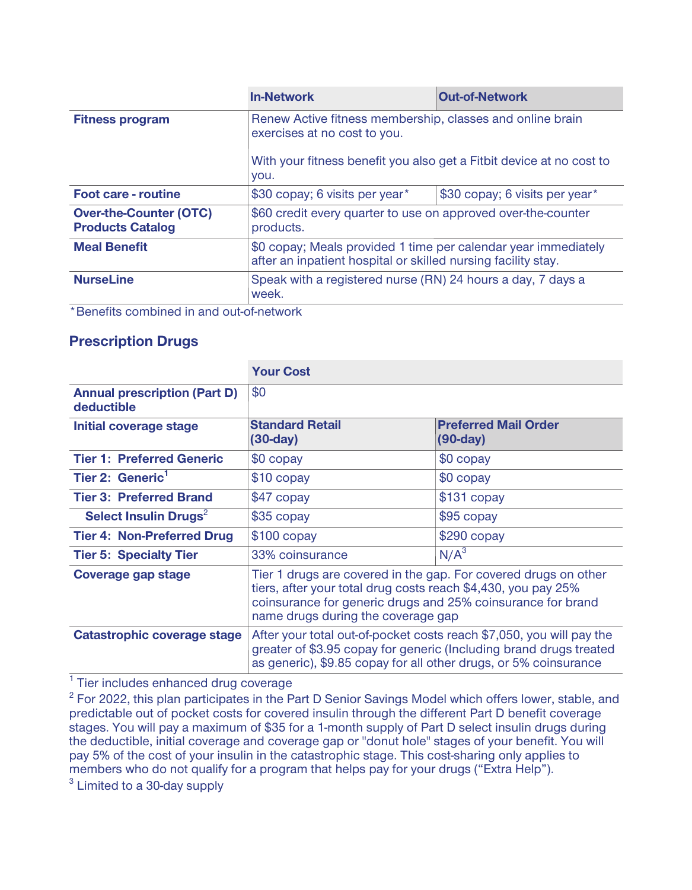|                                                          | <b>In-Network</b>                                                                                                                                                         | <b>Out-of-Network</b>          |
|----------------------------------------------------------|---------------------------------------------------------------------------------------------------------------------------------------------------------------------------|--------------------------------|
| <b>Fitness program</b>                                   | Renew Active fitness membership, classes and online brain<br>exercises at no cost to you.<br>With your fitness benefit you also get a Fitbit device at no cost to<br>you. |                                |
|                                                          |                                                                                                                                                                           |                                |
| <b>Foot care - routine</b>                               | \$30 copay; 6 visits per year*                                                                                                                                            | \$30 copay; 6 visits per year* |
| <b>Over-the-Counter (OTC)</b><br><b>Products Catalog</b> | \$60 credit every quarter to use on approved over-the-counter<br>products.                                                                                                |                                |
| <b>Meal Benefit</b>                                      | \$0 copay; Meals provided 1 time per calendar year immediately<br>after an inpatient hospital or skilled nursing facility stay.                                           |                                |
| <b>NurseLine</b>                                         | Speak with a registered nurse (RN) 24 hours a day, 7 days a<br>week.                                                                                                      |                                |
| * Popofita combined in and out of natural                |                                                                                                                                                                           |                                |

**\*Benefits combined in and out-of-network**

#### **Prescription Drugs**

|                                                   | <b>Your Cost</b>                                                                                                                                                                                                                      |                                           |
|---------------------------------------------------|---------------------------------------------------------------------------------------------------------------------------------------------------------------------------------------------------------------------------------------|-------------------------------------------|
| <b>Annual prescription (Part D)</b><br>deductible | \$0                                                                                                                                                                                                                                   |                                           |
| Initial coverage stage                            | <b>Standard Retail</b><br>$(30-day)$                                                                                                                                                                                                  | <b>Preferred Mail Order</b><br>$(90-day)$ |
| <b>Tier 1: Preferred Generic</b>                  | \$0 copay                                                                                                                                                                                                                             | \$0 copay                                 |
| Tier 2: Generic <sup>1</sup>                      | \$10 copay                                                                                                                                                                                                                            | \$0 copay                                 |
| <b>Tier 3: Preferred Brand</b>                    | \$47 copay                                                                                                                                                                                                                            | $$131$ copay                              |
| Select Insulin Drugs <sup>2</sup>                 | \$35 copay                                                                                                                                                                                                                            | \$95 copay                                |
| <b>Tier 4: Non-Preferred Drug</b>                 | $$100$ copay                                                                                                                                                                                                                          | $$290$ copay                              |
| <b>Tier 5: Specialty Tier</b>                     | 33% coinsurance                                                                                                                                                                                                                       | N/A <sup>3</sup>                          |
| <b>Coverage gap stage</b>                         | Tier 1 drugs are covered in the gap. For covered drugs on other<br>tiers, after your total drug costs reach \$4,430, you pay 25%<br>coinsurance for generic drugs and 25% coinsurance for brand<br>name drugs during the coverage gap |                                           |
| Catastrophic coverage stage                       | After your total out-of-pocket costs reach \$7,050, you will pay the<br>greater of \$3.95 copay for generic (Including brand drugs treated<br>as generic), \$9.85 copay for all other drugs, or 5% coinsurance                        |                                           |

**1 Tier includes enhanced drug coverage**

**2 For 2022, this plan participates in the Part D Senior Savings Model which offers lower, stable, and predictable out of pocket costs for covered insulin through the different Part D benefit coverage stages. You will pay a maximum of \$35 for a 1-month supply of Part D select insulin drugs during the deductible, initial coverage and coverage gap or "donut hole" stages of your benefit. You will pay 5% of the cost of your insulin in the catastrophic stage. This cost-sharing only applies to members who do not qualify for a program that helps pay for your drugs ("Extra Help").**

**3 Limited to a 30-day supply**